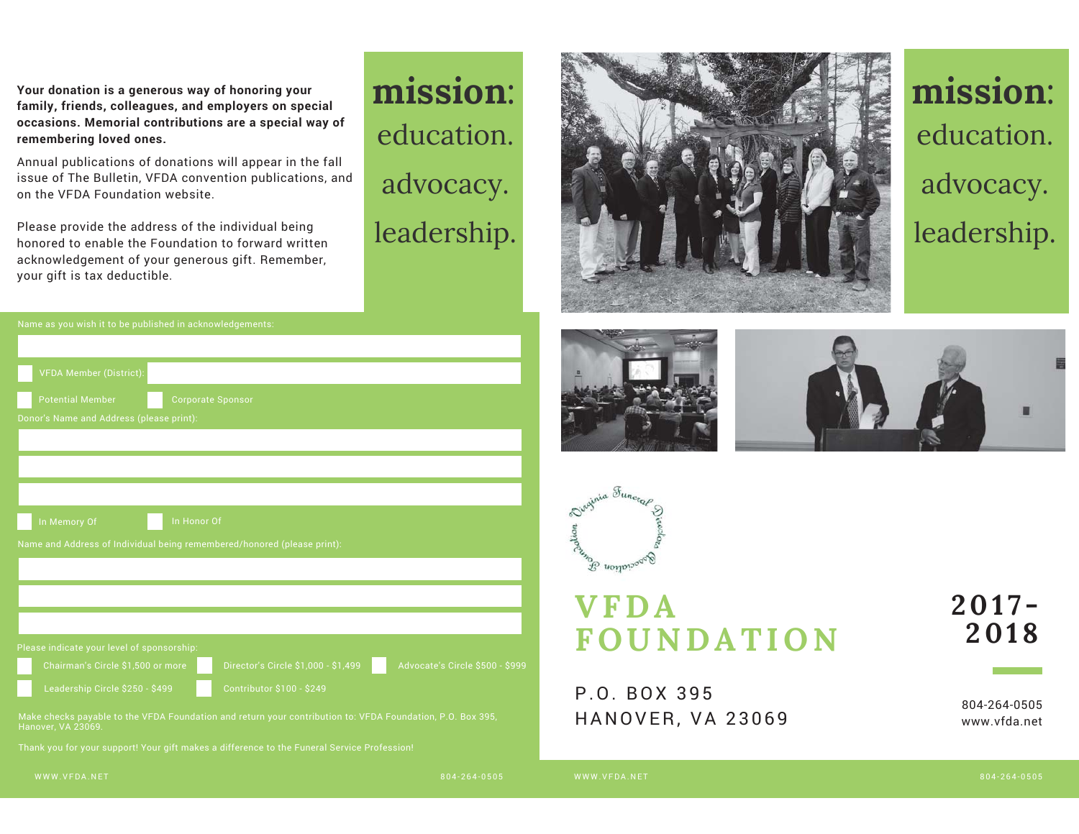**Your donation is a generous way of honoring your family, friends, colleagues, and employers on special occasions. Memorial contributions are a special way of remembering loved ones.**

Annual publications of donations will appear in the fall issue of The Bulletin, VFDA convention publications, and on the VFDA Foundation website.

Please provide the address of the individual being honored to enable the Foundation to forward written acknowledgement of your generous gift. Remember, your gift is tax deductible.

| <b>VFDA Member (District):</b>                                          |                                            |                                                                                                            |                                 |
|-------------------------------------------------------------------------|--------------------------------------------|------------------------------------------------------------------------------------------------------------|---------------------------------|
| <b>Potential Member</b>                                                 |                                            | <b>Corporate Sponsor</b>                                                                                   |                                 |
| Donor's Name and Address (please print):                                |                                            |                                                                                                            |                                 |
|                                                                         |                                            |                                                                                                            |                                 |
|                                                                         |                                            |                                                                                                            |                                 |
|                                                                         |                                            |                                                                                                            |                                 |
| In Honor Of<br>In Memory Of                                             |                                            |                                                                                                            |                                 |
| Name and Address of Individual being remembered/honored (please print): |                                            |                                                                                                            |                                 |
|                                                                         |                                            |                                                                                                            |                                 |
|                                                                         |                                            |                                                                                                            |                                 |
|                                                                         |                                            |                                                                                                            |                                 |
|                                                                         | Please indicate your level of sponsorship: |                                                                                                            |                                 |
|                                                                         | Chairman's Circle \$1,500 or more          | Director's Circle \$1,000 - \$1,499                                                                        | Advocate's Circle \$500 - \$999 |
|                                                                         | Leadership Circle \$250 - \$499            | <b>Contributor \$100 - \$249</b>                                                                           |                                 |
| Hanover, VA 23069.                                                      |                                            | Make checks payable to the VFDA Foundation and return your contribution to: VFDA Foundation, P.O. Box 395, |                                 |

Thank you for your support! Your gift makes a difference to the Funeral Service Profession!













## **VFDA FOUNDATION**

## P.O. BOX 395 HANOVER, VA 23069

## **2017- 2018**

804-264-0505 www.vfda.net

804-264-0505